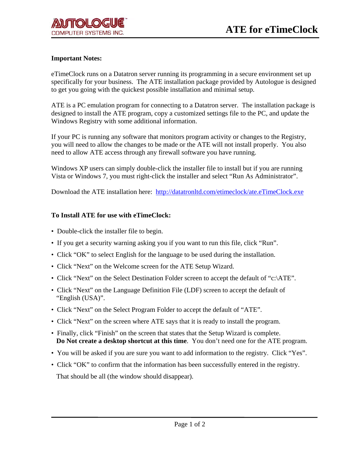## **Important Notes:**

eTimeClock runs on a Datatron server running its programming in a secure environment set up specifically for your business. The ATE installation package provided by Autologue is designed to get you going with the quickest possible installation and minimal setup.

ATE is a PC emulation program for connecting to a Datatron server. The installation package is designed to install the ATE program, copy a customized settings file to the PC, and update the Windows Registry with some additional information.

If your PC is running any software that monitors program activity or changes to the Registry, you will need to allow the changes to be made or the ATE will not install properly. You also need to allow ATE access through any firewall software you have running.

Windows XP users can simply double-click the installer file to install but if you are running Vista or Windows 7, you must right-click the installer and select "Run As Administrator".

Download the ATE installation here: http://datatronltd.com/etimeclock/ate.eTimeClock.exe

## **To Install ATE for use with eTimeClock:**

- Double-click the installer file to begin.
- If you get a security warning asking you if you want to run this file, click "Run".
- Click "OK" to select English for the language to be used during the installation.
- Click "Next" on the Welcome screen for the ATE Setup Wizard.
- Click "Next" on the Select Destination Folder screen to accept the default of "c:\ATE".
- Click "Next" on the Language Definition File (LDF) screen to accept the default of "English (USA)".
- Click "Next" on the Select Program Folder to accept the default of "ATE".
- Click "Next" on the screen where ATE says that it is ready to install the program.
- Finally, click "Finish" on the screen that states that the Setup Wizard is complete. **Do Not create a desktop shortcut at this time**. You don't need one for the ATE program.
- You will be asked if you are sure you want to add information to the registry. Click "Yes".
- Click "OK" to confirm that the information has been successfully entered in the registry. That should be all (the window should disappear).